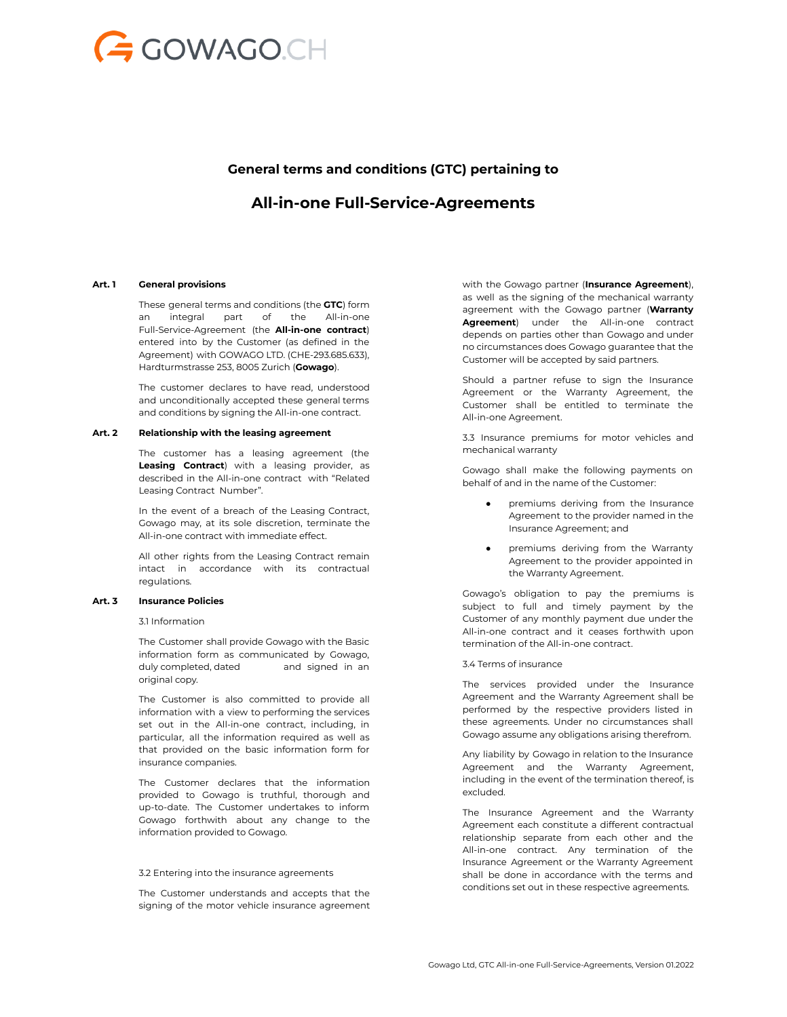

# **General terms and conditions (GTC) pertaining to**

# **All-in-one Full-Service-Agreements**

### **Art. 1 General provisions**

These general terms and conditions (the **GTC**) form an integral part of the All-in-one Full-Service-Agreement (the **All-in-one contract**) entered into by the Customer (as defined in the Agreement) with GOWAGO LTD. (CHE-293.685.633), Hardturmstrasse 253, 8005 Zurich (**Gowago**).

The customer declares to have read, understood and unconditionally accepted these general terms and conditions by signing the All-in-one contract.

#### **Art. 2 Relationship with the leasing agreement**

The customer has a leasing agreement (the **Leasing Contract**) with a leasing provider, as described in the All-in-one contract with "Related Leasing Contract Number".

In the event of a breach of the Leasing Contract, Gowago may, at its sole discretion, terminate the All-in-one contract with immediate effect.

All other rights from the Leasing Contract remain intact in accordance with its contractual regulations.

#### **Art. 3 Insurance Policies**

3.1 Information

The Customer shall provide Gowago with the Basic information form as communicated by Gowago, duly completed, dated and signed in an original copy.

The Customer is also committed to provide all information with a view to performing the services set out in the All-in-one contract, including, in particular, all the information required as well as that provided on the basic information form for insurance companies.

The Customer declares that the information provided to Gowago is truthful, thorough and up-to-date. The Customer undertakes to inform Gowago forthwith about any change to the information provided to Gowago.

#### 3.2 Entering into the insurance agreements

The Customer understands and accepts that the signing of the motor vehicle insurance agreement with the Gowago partner (**Insurance Agreement**), as well as the signing of the mechanical warranty agreement with the Gowago partner (**Warranty Agreement**) under the All-in-one contract depends on parties other than Gowago and under no circumstances does Gowago guarantee that the Customer will be accepted by said partners.

Should a partner refuse to sign the Insurance Agreement or the Warranty Agreement, the Customer shall be entitled to terminate the All-in-one Agreement.

3.3 Insurance premiums for motor vehicles and mechanical warranty

Gowago shall make the following payments on behalf of and in the name of the Customer:

- premiums deriving from the Insurance Agreement to the provider named in the Insurance Agreement; and
- premiums deriving from the Warranty Agreement to the provider appointed in the Warranty Agreement.

Gowago's obligation to pay the premiums is subject to full and timely payment by the Customer of any monthly payment due under the All-in-one contract and it ceases forthwith upon termination of the All-in-one contract.

#### 3.4 Terms of insurance

The services provided under the Insurance Agreement and the Warranty Agreement shall be performed by the respective providers listed in these agreements. Under no circumstances shall Gowago assume any obligations arising therefrom.

Any liability by Gowago in relation to the Insurance Agreement and the Warranty Agreement, including in the event of the termination thereof, is excluded.

The Insurance Agreement and the Warranty Agreement each constitute a different contractual relationship separate from each other and the All-in-one contract. Any termination of the Insurance Agreement or the Warranty Agreement shall be done in accordance with the terms and conditions set out in these respective agreements.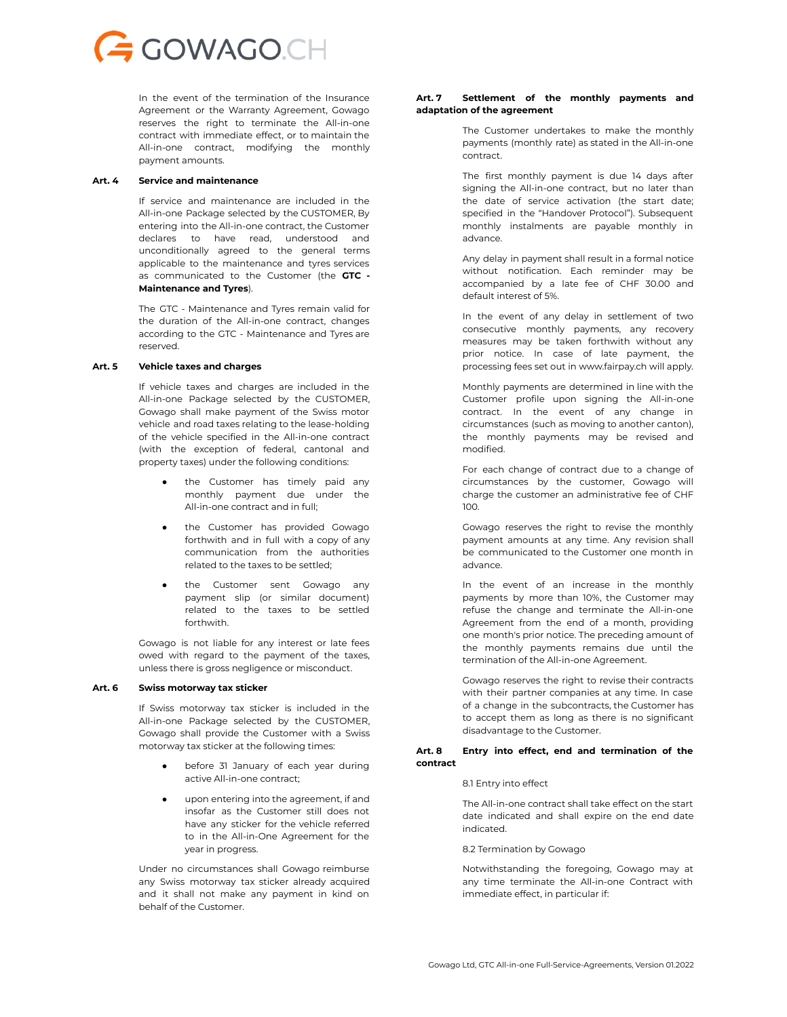

In the event of the termination of the Insurance Agreement or the Warranty Agreement, Gowago reserves the right to terminate the All-in-one contract with immediate effect, or to maintain the All-in-one contract, modifying the monthly payment amounts.

#### **Art. 4 Service and maintenance**

If service and maintenance are included in the All-in-one Package selected by the CUSTOMER, By entering into the All-in-one contract, the Customer declares to have read, understood and unconditionally agreed to the general terms applicable to the maintenance and tyres services as communicated to the Customer (the **GTC - Maintenance and Tyres**).

The GTC - Maintenance and Tyres remain valid for the duration of the All-in-one contract, changes according to the GTC - Maintenance and Tyres are reserved.

## **Art. 5 Vehicle taxes and charges**

If vehicle taxes and charges are included in the All-in-one Package selected by the CUSTOMER, Gowago shall make payment of the Swiss motor vehicle and road taxes relating to the lease-holding of the vehicle specified in the All-in-one contract (with the exception of federal, cantonal and property taxes) under the following conditions:

- the Customer has timely paid any monthly payment due under the All-in-one contract and in full;
- the Customer has provided Gowago forthwith and in full with a copy of any communication from the authorities related to the taxes to be settled;
- the Customer sent Gowago any payment slip (or similar document) related to the taxes to be settled forthwith.

Gowago is not liable for any interest or late fees owed with regard to the payment of the taxes, unless there is gross negligence or misconduct.

#### **Art. 6 Swiss motorway tax sticker**

If Swiss motorway tax sticker is included in the All-in-one Package selected by the CUSTOMER, Gowago shall provide the Customer with a Swiss motorway tax sticker at the following times:

- before 31 January of each year during active All-in-one contract;
- upon entering into the agreement, if and insofar as the Customer still does not have any sticker for the vehicle referred to in the All-in-One Agreement for the year in progress.

Under no circumstances shall Gowago reimburse any Swiss motorway tax sticker already acquired and it shall not make any payment in kind on behalf of the Customer.

### **Art. 7 Settlement of the monthly payments and adaptation of the agreement**

The Customer undertakes to make the monthly payments (monthly rate) as stated in the All-in-one contract.

The first monthly payment is due 14 days after signing the All-in-one contract, but no later than the date of service activation (the start date; specified in the "Handover Protocol"). Subsequent monthly instalments are payable monthly in advance.

Any delay in payment shall result in a formal notice without notification. Each reminder may be accompanied by a late fee of CHF 30.00 and default interest of 5%.

In the event of any delay in settlement of two consecutive monthly payments, any recovery measures may be taken forthwith without any prior notice. In case of late payment, the processing fees set out in www.fairpay.ch will apply.

Monthly payments are determined in line with the Customer profile upon signing the All-in-one contract. In the event of any change in circumstances (such as moving to another canton), the monthly payments may be revised and modified.

For each change of contract due to a change of circumstances by the customer, Gowago will charge the customer an administrative fee of CHF 100.

Gowago reserves the right to revise the monthly payment amounts at any time. Any revision shall be communicated to the Customer one month in advance.

In the event of an increase in the monthly payments by more than 10%, the Customer may refuse the change and terminate the All-in-one Agreement from the end of a month, providing one month's prior notice. The preceding amount of the monthly payments remains due until the termination of the All-in-one Agreement.

Gowago reserves the right to revise their contracts with their partner companies at any time. In case of a change in the subcontracts, the Customer has to accept them as long as there is no significant disadvantage to the Customer.

## **Art. 8 Entry into effect, end and termination of the contract**

#### 8.1 Entry into effect

The All-in-one contract shall take effect on the start date indicated and shall expire on the end date indicated.

8.2 Termination by Gowago

Notwithstanding the foregoing, Gowago may at any time terminate the All-in-one Contract with immediate effect, in particular if: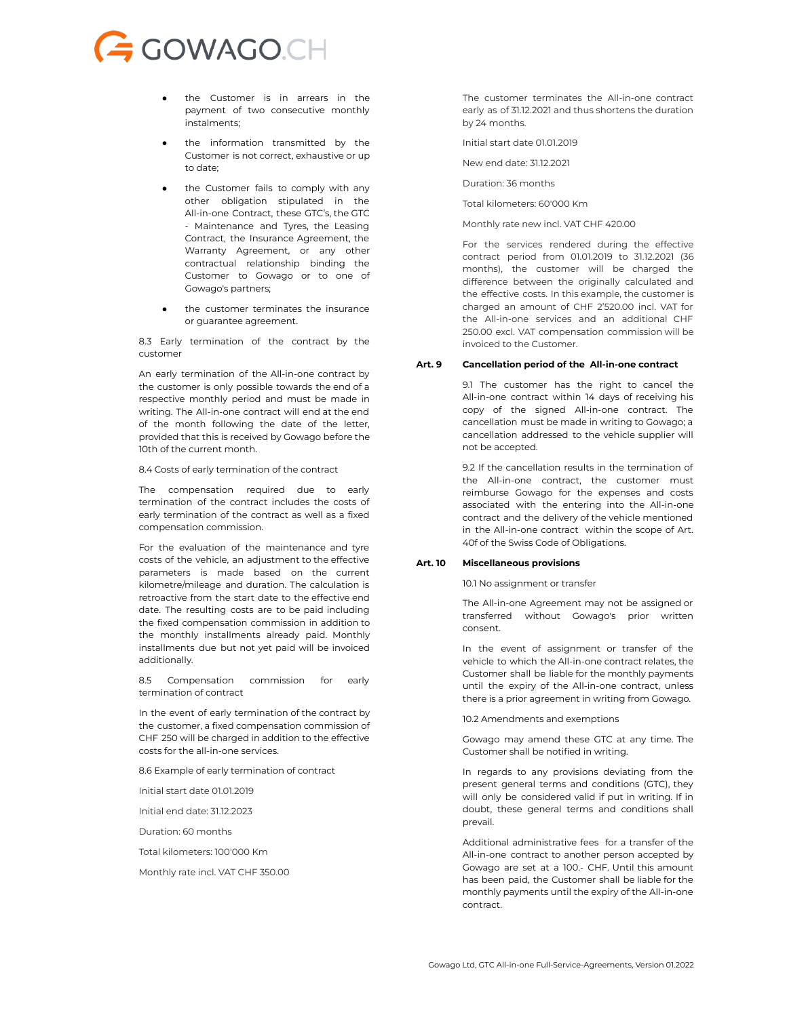# GOWAGO.CH

- the Customer is in arrears in the payment of two consecutive monthly instalments;
- the information transmitted by the Customer is not correct, exhaustive or up to date;
- the Customer fails to comply with any other obligation stipulated in the All-in-one Contract, these GTC's, the GTC - Maintenance and Tyres, the Leasing Contract, the Insurance Agreement, the Warranty Agreement, or any other contractual relationship binding the Customer to Gowago or to one of Gowago's partners;
- the customer terminates the insurance or guarantee agreement.

8.3 Early termination of the contract by the customer

An early termination of the All-in-one contract by the customer is only possible towards the end of a respective monthly period and must be made in writing. The All-in-one contract will end at the end of the month following the date of the letter, provided that this is received by Gowago before the 10th of the current month.

8.4 Costs of early termination of the contract

The compensation required due to early termination of the contract includes the costs of early termination of the contract as well as a fixed compensation commission.

For the evaluation of the maintenance and tyre costs of the vehicle, an adjustment to the effective parameters is made based on the current kilometre/mileage and duration. The calculation is retroactive from the start date to the effective end date. The resulting costs are to be paid including the fixed compensation commission in addition to the monthly installments already paid. Monthly installments due but not yet paid will be invoiced additionally.

8.5 Compensation commission for early termination of contract

In the event of early termination of the contract by the customer, a fixed compensation commission of CHF 250 will be charged in addition to the effective costs for the all-in-one services.

8.6 Example of early termination of contract

Initial start date 01.01.2019

Initial end date: 31.12.2023

Duration: 60 months

Total kilometers: 100'000 Km

Monthly rate incl. VAT CHF 350.00

The customer terminates the All-in-one contract early as of 31.12.2021 and thus shortens the duration by 24 months.

Initial start date 01.01.2019

New end date: 31.12.2021

Duration: 36 months

Total kilometers: 60'000 Km

Monthly rate new incl. VAT CHF 420.00

For the services rendered during the effective contract period from 01.01.2019 to 31.12.2021 (36 months), the customer will be charged the difference between the originally calculated and the effective costs. In this example, the customer is charged an amount of CHF 2'520.00 incl. VAT for the All-in-one services and an additional CHF 250.00 excl. VAT compensation commission will be invoiced to the Customer.

#### **Art. 9 Cancellation period of the All-in-one contract**

9.1 The customer has the right to cancel the All-in-one contract within 14 days of receiving his copy of the signed All-in-one contract. The cancellation must be made in writing to Gowago; a cancellation addressed to the vehicle supplier will not be accepted.

9.2 If the cancellation results in the termination of the All-in-one contract, the customer must reimburse Gowago for the expenses and costs associated with the entering into the All-in-one contract and the delivery of the vehicle mentioned in the All-in-one contract within the scope of Art. 40f of the Swiss Code of Obligations.

### **Art. 10 Miscellaneous provisions**

10.1 No assignment or transfer

The All-in-one Agreement may not be assigned or transferred without Gowago's prior written consent.

In the event of assignment or transfer of the vehicle to which the All-in-one contract relates, the Customer shall be liable for the monthly payments until the expiry of the All-in-one contract, unless there is a prior agreement in writing from Gowago.

10.2 Amendments and exemptions

Gowago may amend these GTC at any time. The Customer shall be notified in writing.

In regards to any provisions deviating from the present general terms and conditions (GTC), they will only be considered valid if put in writing. If in doubt, these general terms and conditions shall prevail.

Additional administrative fees for a transfer of the All-in-one contract to another person accepted by Gowago are set at a 100.- CHF. Until this amount has been paid, the Customer shall be liable for the monthly payments until the expiry of the All-in-one contract.